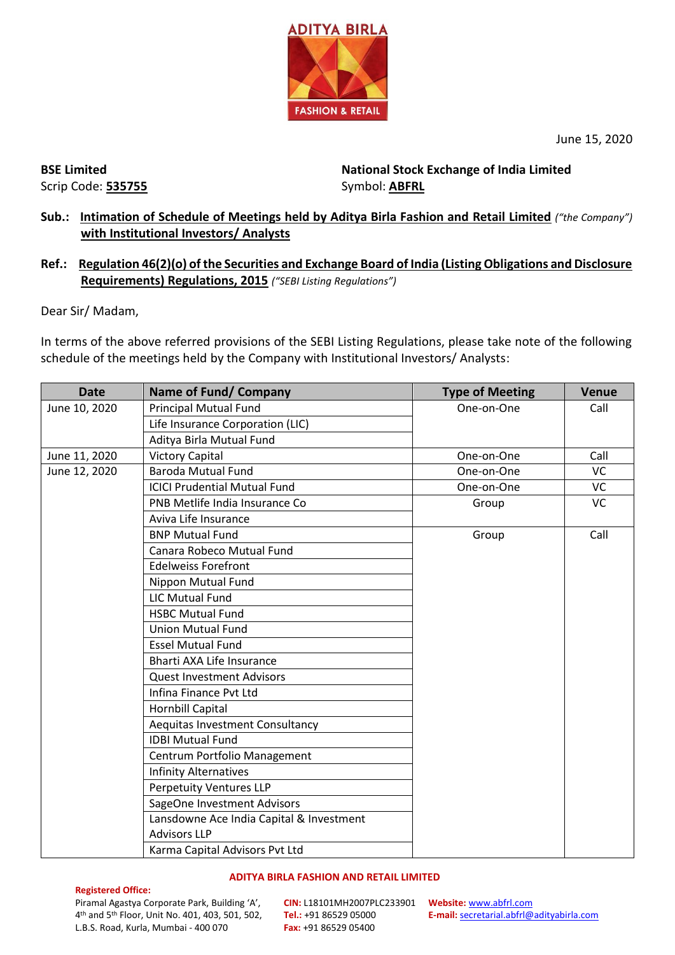

June 15, 2020

**BSE Limited** Scrip Code: **535755** **National Stock Exchange of India Limited**  Symbol: **ABFRL**

# **Sub.: Intimation of Schedule of Meetings held by Aditya Birla Fashion and Retail Limited** *("the Company")* **with Institutional Investors/ Analysts**

## **Ref.: Regulation 46(2)(o) of the Securities and Exchange Board of India (Listing Obligations and Disclosure Requirements) Regulations, 2015** *("SEBI Listing Regulations")*

Dear Sir/ Madam,

In terms of the above referred provisions of the SEBI Listing Regulations, please take note of the following schedule of the meetings held by the Company with Institutional Investors/ Analysts:

| <b>Date</b>   | <b>Name of Fund/ Company</b>             | <b>Type of Meeting</b> | <b>Venue</b> |
|---------------|------------------------------------------|------------------------|--------------|
| June 10, 2020 | <b>Principal Mutual Fund</b>             | One-on-One             | Call         |
|               | Life Insurance Corporation (LIC)         |                        |              |
|               | Aditya Birla Mutual Fund                 |                        |              |
| June 11, 2020 | <b>Victory Capital</b>                   | One-on-One             | Call         |
| June 12, 2020 | <b>Baroda Mutual Fund</b>                | One-on-One             | VC           |
|               | <b>ICICI Prudential Mutual Fund</b>      | One-on-One             | VC           |
|               | PNB Metlife India Insurance Co           | Group                  | <b>VC</b>    |
|               | Aviva Life Insurance                     |                        |              |
|               | <b>BNP Mutual Fund</b>                   | Group                  | Call         |
|               | Canara Robeco Mutual Fund                |                        |              |
|               | <b>Edelweiss Forefront</b>               |                        |              |
|               | Nippon Mutual Fund                       |                        |              |
|               | <b>LIC Mutual Fund</b>                   |                        |              |
|               | <b>HSBC Mutual Fund</b>                  |                        |              |
|               | <b>Union Mutual Fund</b>                 |                        |              |
|               | <b>Essel Mutual Fund</b>                 |                        |              |
|               | Bharti AXA Life Insurance                |                        |              |
|               | <b>Quest Investment Advisors</b>         |                        |              |
|               | Infina Finance Pvt Ltd                   |                        |              |
|               | Hornbill Capital                         |                        |              |
|               | Aequitas Investment Consultancy          |                        |              |
|               | <b>IDBI Mutual Fund</b>                  |                        |              |
|               | Centrum Portfolio Management             |                        |              |
|               | <b>Infinity Alternatives</b>             |                        |              |
|               | <b>Perpetuity Ventures LLP</b>           |                        |              |
|               | SageOne Investment Advisors              |                        |              |
|               | Lansdowne Ace India Capital & Investment |                        |              |
|               | <b>Advisors LLP</b>                      |                        |              |
|               | Karma Capital Advisors Pvt Ltd           |                        |              |

### **ADITYA BIRLA FASHION AND RETAIL LIMITED**

#### **Registered Office:**

Piramal Agastya Corporate Park, Building 'A', 4 th and 5th Floor, Unit No. 401, 403, 501, 502, L.B.S. Road, Kurla, Mumbai - 400 070

**CIN:** L18101MH2007PLC233901 **Website:** [www.abfrl.com](http://www.abfrl.com/) **Tel.:** +91 86529 05000 **Fax:** +91 86529 05400

**E-mail:** [secretarial.abfrl@adityabirla.com](mailto:secretarial.abfrl@adityabirla.com)